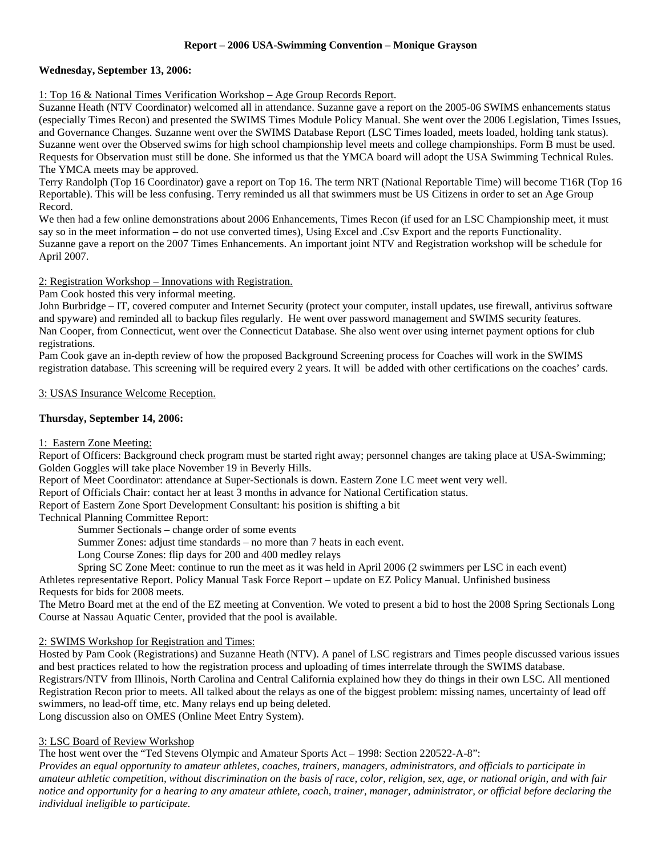# **Report – 2006 USA-Swimming Convention – Monique Grayson**

## **Wednesday, September 13, 2006:**

1: Top 16 & National Times Verification Workshop – Age Group Records Report.

Suzanne Heath (NTV Coordinator) welcomed all in attendance. Suzanne gave a report on the 2005-06 SWIMS enhancements status (especially Times Recon) and presented the SWIMS Times Module Policy Manual. She went over the 2006 Legislation, Times Issues, and Governance Changes. Suzanne went over the SWIMS Database Report (LSC Times loaded, meets loaded, holding tank status). Suzanne went over the Observed swims for high school championship level meets and college championships. Form B must be used. Requests for Observation must still be done. She informed us that the YMCA board will adopt the USA Swimming Technical Rules. The YMCA meets may be approved.

Terry Randolph (Top 16 Coordinator) gave a report on Top 16. The term NRT (National Reportable Time) will become T16R (Top 16 Reportable). This will be less confusing. Terry reminded us all that swimmers must be US Citizens in order to set an Age Group Record.

We then had a few online demonstrations about 2006 Enhancements, Times Recon (if used for an LSC Championship meet, it must say so in the meet information – do not use converted times), Using Excel and .Csv Export and the reports Functionality. Suzanne gave a report on the 2007 Times Enhancements. An important joint NTV and Registration workshop will be schedule for April 2007.

2: Registration Workshop – Innovations with Registration.

Pam Cook hosted this very informal meeting.

John Burbridge – IT, covered computer and Internet Security (protect your computer, install updates, use firewall, antivirus software and spyware) and reminded all to backup files regularly. He went over password management and SWIMS security features. Nan Cooper, from Connecticut, went over the Connecticut Database. She also went over using internet payment options for club registrations.

Pam Cook gave an in-depth review of how the proposed Background Screening process for Coaches will work in the SWIMS registration database. This screening will be required every 2 years. It will be added with other certifications on the coaches' cards.

#### 3: USAS Insurance Welcome Reception.

## **Thursday, September 14, 2006:**

## 1: Eastern Zone Meeting:

Report of Officers: Background check program must be started right away; personnel changes are taking place at USA-Swimming; Golden Goggles will take place November 19 in Beverly Hills.

Report of Meet Coordinator: attendance at Super-Sectionals is down. Eastern Zone LC meet went very well.

Report of Officials Chair: contact her at least 3 months in advance for National Certification status.

Report of Eastern Zone Sport Development Consultant: his position is shifting a bit

Technical Planning Committee Report:

Summer Sectionals – change order of some events

Summer Zones: adjust time standards – no more than 7 heats in each event.

Long Course Zones: flip days for 200 and 400 medley relays

Spring SC Zone Meet: continue to run the meet as it was held in April 2006 (2 swimmers per LSC in each event) Athletes representative Report. Policy Manual Task Force Report – update on EZ Policy Manual. Unfinished business Requests for bids for 2008 meets.

The Metro Board met at the end of the EZ meeting at Convention. We voted to present a bid to host the 2008 Spring Sectionals Long Course at Nassau Aquatic Center, provided that the pool is available.

#### 2: SWIMS Workshop for Registration and Times:

Hosted by Pam Cook (Registrations) and Suzanne Heath (NTV). A panel of LSC registrars and Times people discussed various issues and best practices related to how the registration process and uploading of times interrelate through the SWIMS database. Registrars/NTV from Illinois, North Carolina and Central California explained how they do things in their own LSC. All mentioned Registration Recon prior to meets. All talked about the relays as one of the biggest problem: missing names, uncertainty of lead off swimmers, no lead-off time, etc. Many relays end up being deleted. Long discussion also on OMES (Online Meet Entry System).

#### 3: LSC Board of Review Workshop

The host went over the "Ted Stevens Olympic and Amateur Sports Act – 1998: Section 220522-A-8":

*Provides an equal opportunity to amateur athletes, coaches, trainers, managers, administrators, and officials to participate in amateur athletic competition, without discrimination on the basis of race, color, religion, sex, age, or national origin, and with fair notice and opportunity for a hearing to any amateur athlete, coach, trainer, manager, administrator, or official before declaring the individual ineligible to participate*.